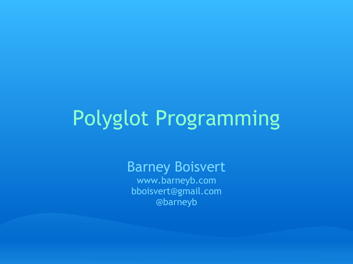# Polyglot Programming

Barney Boisvert www.barneyb.com bboisvert@gmail.com @barneyb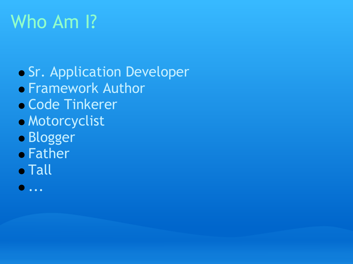# Who Am I?

**Sr. Application Developer • Framework Author** Code Tinkerer Motorcyclist **Blogger • Father** 

- **Tall**
- ...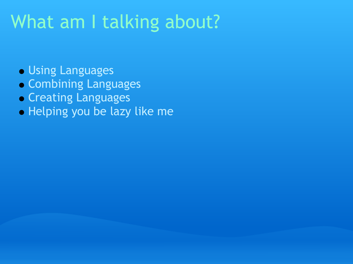## What am I talking about?

- Using Languages
- Combining Languages
- **Creating Languages**
- **Helping you be lazy like me**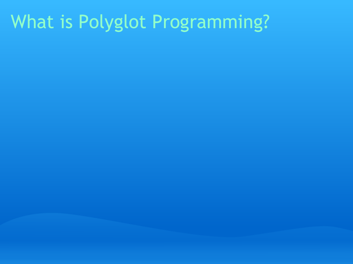# What is Polyglot Programming?

- 
- 
- 
- 
- 
- 
- - - -
- - -
- 
- - -
- 
- 
- 
- 
- - -
- 
- 
- 
- 
- -
- 
- 
- 
- 
- 
- 
- 
- 
- 
- 
- 
- 
- 
- 
- 
- 
- 
- 
- 
- 
- 
-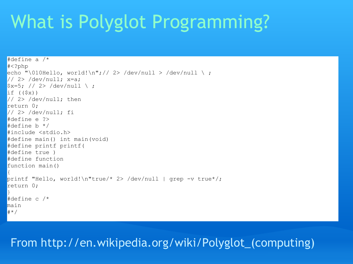# What is Polyglot Programming?

```
#define a /*
#<?php
echo "\010Hello, world!\n";// 2> /dev/null > /dev/null \ ;
1/2 /dev/null; x=a;
\frac{1}{2}x=5; // 2> /dev/null \;
if ((\$x))1/2 /dev/null; then
return 0;
1/2 /dev/null; fi
#define e ?>
\#define b */#include <stdio.h>
#define main() int main(void)
#define printf printf(
#define true )
#define function
function main()
\vertprintf "Hello, world!\n"true/* 2> /dev/null | grep -v true*/;
return 0:
}
#define c /*
main
\mid# * /
```
#### From http://en.wikipedia.org/wiki/Polyglot\_(computing)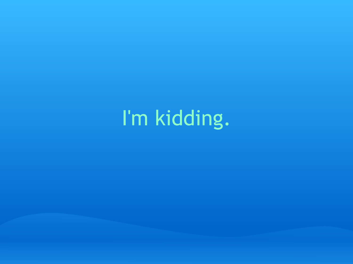I'm kidding.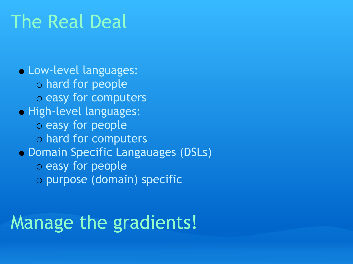### The Real Deal

Low-level languages: hard for people o easy for computers **• High-level languages:** o easy for people hard for computers Domain Specific Langauages (DSLs) o easy for people purpose (domain) specific

# Manage the gradients!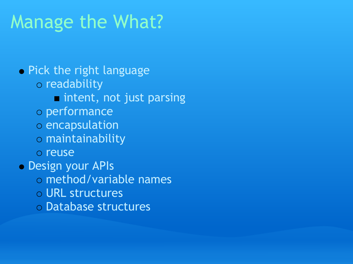# Manage the What?

**• Pick the right language** o readability **n** intent, not just parsing performance encapsulation maintainability o reuse Design your APIs method/variable names URL structures Database structures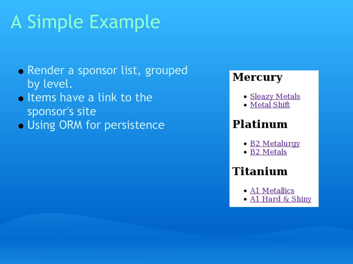# A Simple Example

- Render a sponsor list, grouped by level.
- **o** Items have a link to the sponsor's site
- Using ORM for persistence

#### **Mercury**

- <u>Sleazy Metals</u>
- · Metal Shift

#### Platinum

- B2 Metalurgy
- · B2 Metals

#### **Titanium**

- A1 Metallics
- A1 Hard & Shiny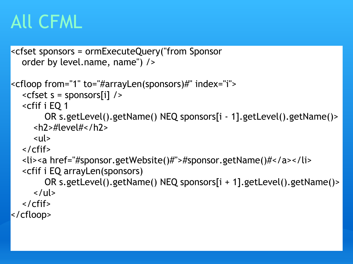# All CFML

```
<cfset sponsors = ormExecuteQuery("from Sponsor
       order by level.name, name") />
<cfloop from="1" to="#arrayLen(sponsors)#" index="i">
       <cfset s = sponsors[i] /> 
       <cfif i EQ 1
                     OR s.getLevel().getName() NEQ sponsors[i - 1].getLevel().getName()>
              <h2>#level#</h2>
      \langleul>
   \langle / \langle cfif\rangle    <li><a href="#sponsor.getWebsite()#">#sponsor.getName()#</a></li> 
       <cfif i EQ arrayLen(sponsors)
                     OR s.getLevel().getName() NEQ sponsors[i + 1].getLevel().getName()> 
      \langle/ul\rangle\langle / \langle cfif \rangle</cfloop>
```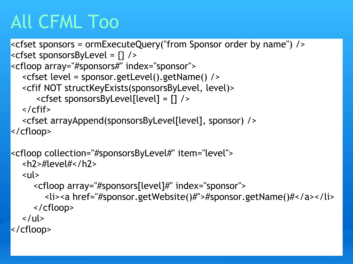# All CFML Too

```
<cfset sponsors = ormExecuteQuery("from Sponsor order by name") />
<<cfset sponsorsByLevel = {} />
<cfloop array="#sponsors#" index="sponsor">
       <cfset level = sponsor.getLevel().getName() /> 
       <cfif NOT structKeyExists(sponsorsByLevel, level)>
                <cfset sponsorsByLevel[level] = [] />
   \langle / \langle cfif\rangle    <cfset arrayAppend(sponsorsByLevel[level], sponsor) />
</cfloop>
<cfloop collection="#sponsorsByLevel#" item="level">
       <h2>#level#</h2>
   <sub>ul</sub></sub>
              <cfloop array="#sponsors[level]#" index="sponsor">
                     <li><a href="#sponsor.getWebsite()#">#sponsor.getName()#</a></li> 
              </cfloop>
   \langle/ul\rangle</cfloop>
```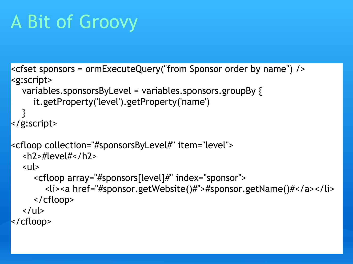# A Bit of Groovy

```
<cfset sponsors = ormExecuteQuery("from Sponsor order by name") />
<g:script>
       variables.sponsorsByLevel = variables.sponsors.groupBy {
              it.getProperty('level').getProperty('name')
\begin{array}{|c|} \hline \end{array}</g:script>
<cfloop collection="#sponsorsByLevel#" item="level">
       <h2>#level#</h2>
   <sub>ul</sub></sub>
              <cfloop array="#sponsors[level]#" index="sponsor">
                     <li><a href="#sponsor.getWebsite()#">#sponsor.getName()#</a></li> 
              </cfloop>
   \langle/ul\rangle</cfloop>
```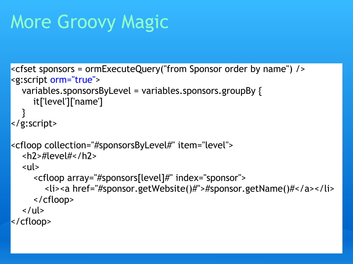# More Groovy Magic

```
<cfset sponsors = ormExecuteQuery("from Sponsor order by name") />
<g:script orm="true">
      variables.sponsorsByLevel = variables.sponsors.groupBy {
             it['level']['name']
  }
</g:script>
<cfloop collection="#sponsorsByLevel#" item="level">
      <h2>#level#</h2>
      <ul>
             <cfloop array="#sponsors[level]#" index="sponsor">
                     <li><a href="#sponsor.getWebsite()#">#sponsor.getName()#</a></li> 
             </cfloop>
   \langle/ul>
</cfloop>
```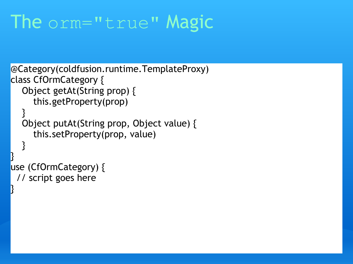### The orm="true" Magic

```
@Category(coldfusion.runtime.TemplateProxy)
class CfOrmCategory {
       Object getAt(String prop) {
              this.getProperty(prop)
   }<br>}
       Object putAt(String prop, Object value) {
              this.setProperty(prop, value)
    }
}
use (CfOrmCategory) {
   // script goes here 
}<br>}
```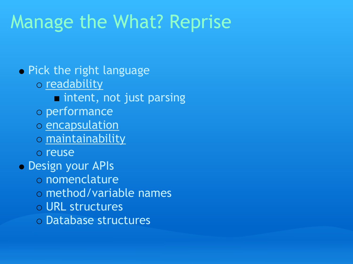### Manage the What? Reprise

**• Pick the right language** o readability **n** intent, not just parsing performance o encapsulation maintainability o reuse Design your APIs o nomenclature method/variable names URL structures Database structures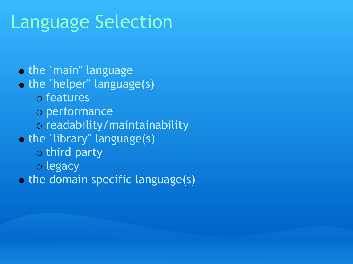# Language Selection

- **the "main" language**
- o the "helper" language(s)
	- features
	- performance
	- readability/maintainability
- the "library" language(s)
	- $\circ$  third party
	- o legacy
- the domain specific language(s)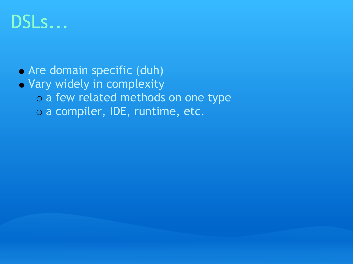### DSLs...

- Are domain specific (duh)
- Vary widely in complexity o a few related methods on one type a compiler, IDE, runtime, etc.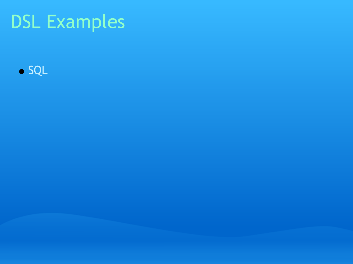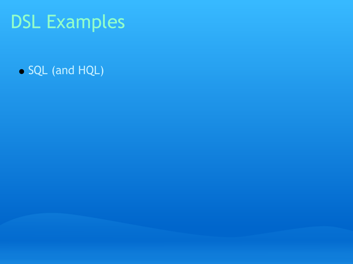SQL (and HQL)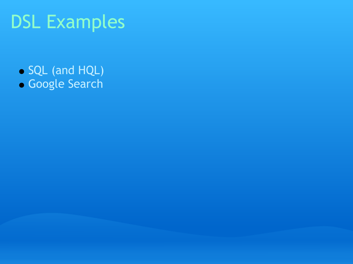- SQL (and HQL)
- Google Search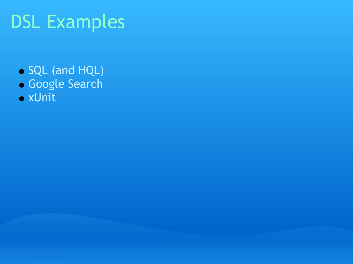- SQL (and HQL)
- Google Search
- xUnit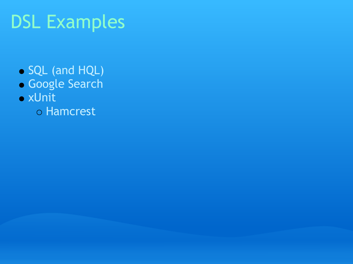- SQL (and HQL)
- Google Search
- xUnit
	- Hamcrest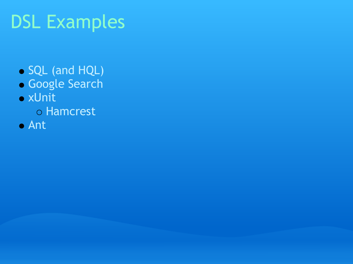- SQL (and HQL)
- Google Search
- xUnit
	- o Hamcrest
- Ant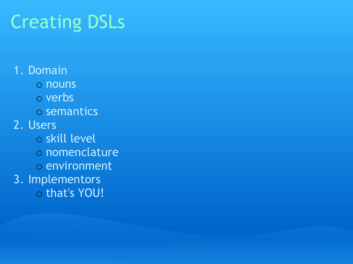# Creating DSLs

1. Domain o nouns o verbs semantics 2. Users o skill level o nomenclature o environment 3. Implementors o that's YOU!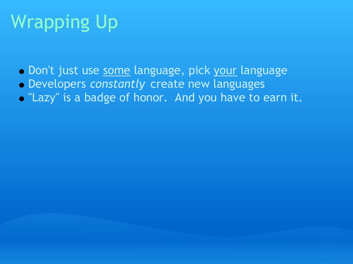# Wrapping Up

- Don't just use some language, pick your language
- Developers *constantly* create new languages
- . "Lazy" is a badge of honor. And you have to earn it.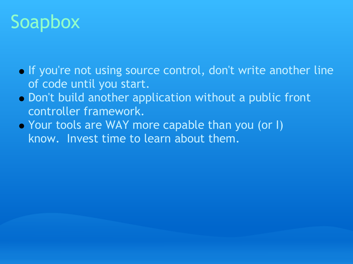# Soapbox

- If you're not using source control, don't write another line of code until you start.
- Don't build another application without a public front controller framework.
- Your tools are WAY more capable than you (or I) know. Invest time to learn about them.